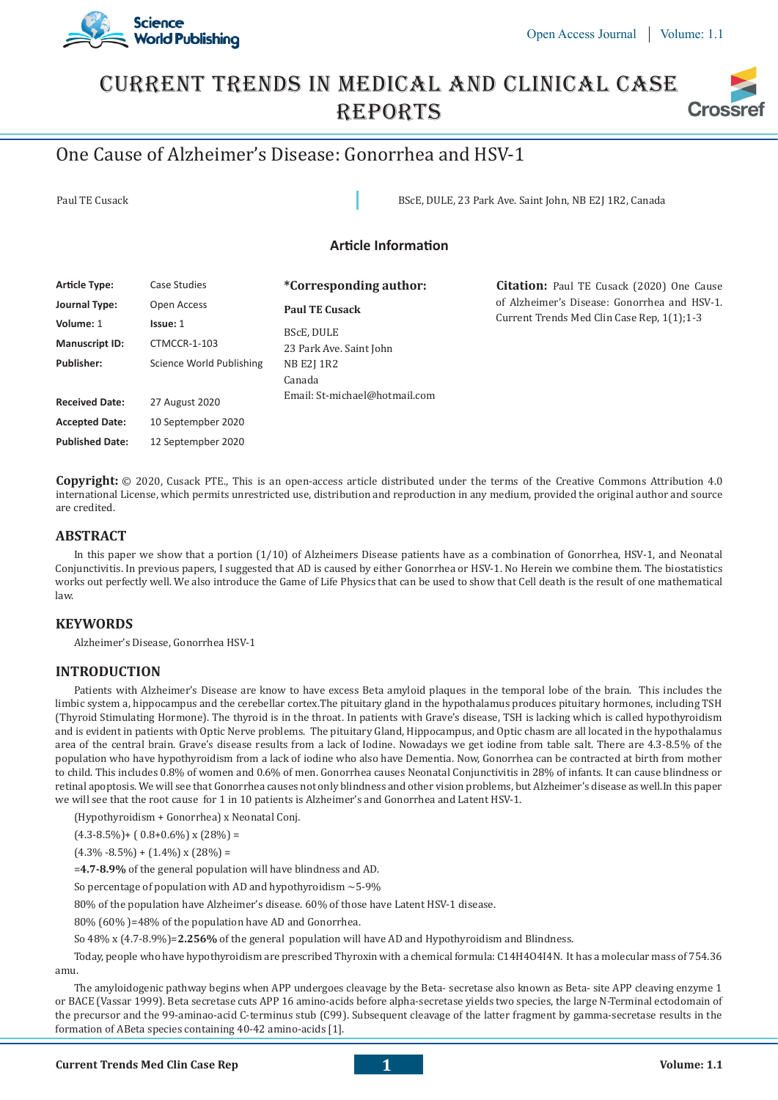

# Current Trends In Medical And Clinical Case **REPORTS**

# One Cause of Alzheimer's Disease: Gonorrhea and HSV-1

Paul TE Cusack BScE, DULE, 23 Park Ave. Saint John, NB E2J 1R2, Canada

# **Article Information**

| <b>Article Type:</b>   | Case Studies             | <i>*Corresponding author:</i>                                                                                       | <b>Citation:</b> Paul TE Cusack (2020) One Cause |
|------------------------|--------------------------|---------------------------------------------------------------------------------------------------------------------|--------------------------------------------------|
| Journal Type:          | Open Access              | <b>Paul TE Cusack</b><br>Current Trends Med Clin Case Rep, 1(1);1-3<br><b>BScE. DULE</b><br>23 Park Ave. Saint John | of Alzheimer's Disease: Gonorrhea and HSV-1.     |
| Volume: 1              | Issue: 1                 |                                                                                                                     |                                                  |
| <b>Manuscript ID:</b>  | CTMCCR-1-103             |                                                                                                                     |                                                  |
| <b>Publisher:</b>      | Science World Publishing | NB E2J 1R2                                                                                                          |                                                  |
|                        |                          | Canada                                                                                                              |                                                  |
| <b>Received Date:</b>  | 27 August 2020           | Email: St-michael@hotmail.com                                                                                       |                                                  |
| <b>Accepted Date:</b>  | 10 Septempber 2020       |                                                                                                                     |                                                  |
| <b>Published Date:</b> | 12 Septempber 2020       |                                                                                                                     |                                                  |

**Copyright:** © 2020, Cusack PTE., This is an open-access article distributed under the terms of the Creative Commons Attribution 4.0 international License, which permits unrestricted use, distribution and reproduction in any medium, provided the original author and source are credited.

# **ABSTRACT**

In this paper we show that a portion (1/10) of Alzheimers Disease patients have as a combination of Gonorrhea, HSV-1, and Neonatal Conjunctivitis. In previous papers, I suggested that AD is caused by either Gonorrhea or HSV-1. No Herein we combine them. The biostatistics works out perfectly well. We also introduce the Game of Life Physics that can be used to show that Cell death is the result of one mathematical law.

## **KEYWORDS**

Alzheimer's Disease, Gonorrhea HSV-1

#### **INTRODUCTION**

Patients with Alzheimer's Disease are know to have excess Beta amyloid plaques in the temporal lobe of the brain. This includes the limbic system a, hippocampus and the cerebellar cortex.The pituitary gland in the hypothalamus produces pituitary hormones, including TSH (Thyroid Stimulating Hormone). The thyroid is in the throat. In patients with Grave's disease, TSH is lacking which is called hypothyroidism and is evident in patients with Optic Nerve problems. The pituitary Gland, Hippocampus, and Optic chasm are all located in the hypothalamus area of the central brain. Grave's disease results from a lack of Iodine. Nowadays we get iodine from table salt. There are 4.3-8.5% of the population who have hypothyroidism from a lack of iodine who also have Dementia. Now, Gonorrhea can be contracted at birth from mother to child. This includes 0.8% of women and 0.6% of men. Gonorrhea causes Neonatal Conjunctivitis in 28% of infants. It can cause blindness or retinal apoptosis. We will see that Gonorrhea causes not only blindness and other vision problems, but Alzheimer's disease as well.In this paper we will see that the root cause for 1 in 10 patients is Alzheimer's and Gonorrhea and Latent HSV-1.

(Hypothyroidism + Gonorrhea) x Neonatal Conj.

 $(4.3-8.5\%) + (0.8+0.6\%) \times (28\%) =$ 

 $(4.3\% - 8.5\%) + (1.4\%)$  x  $(28\%) =$ 

=**4.7-8.9%** of the general population will have blindness and AD.

So percentage of population with AD and hypothyroidism  $\sim$  5-9%

80% of the population have Alzheimer's disease. 60% of those have Latent HSV-1 disease.

80% (60% )=48% of the population have AD and Gonorrhea.

So 48% x (4.7-8.9%)=**2.256%** of the general population will have AD and Hypothyroidism and Blindness.

Today, people who have hypothyroidism are prescribed Thyroxin with a chemical formula: C14H4O4I4N. It has a molecular mass of 754.36 amu.

The amyloidogenic pathway begins when APP undergoes cleavage by the Beta- secretase also known as Beta- site APP cleaving enzyme 1 or BACE (Vassar 1999). Beta secretase cuts APP 16 amino-acids before alpha-secretase yields two species, the large N-Terminal ectodomain of the precursor and the 99-aminao-acid C-terminus stub (C99). Subsequent cleavage of the latter fragment by gamma-secretase results in the formation of ABeta species containing 40-42 amino-acids [1].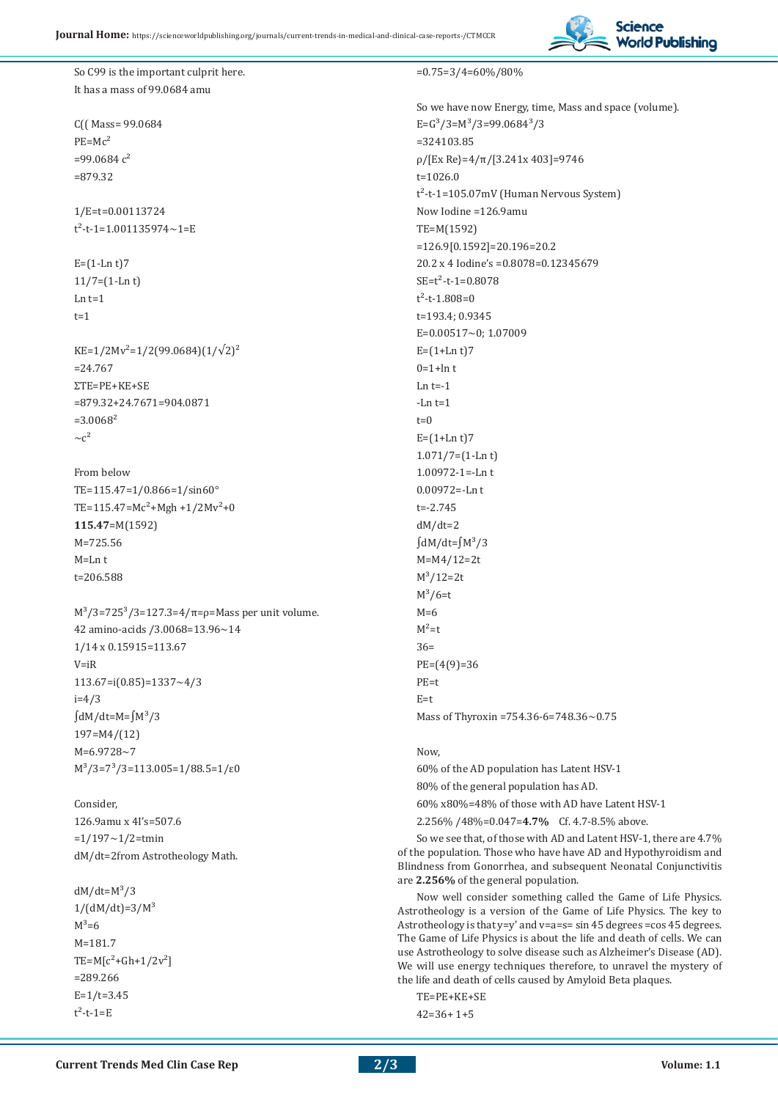

So C99 is the important culprit here. It has a mass of 99.0684 amu

C(( Mass= 99.0684  $PE=Mc^2$  $=99.0684 c^2$ =879.32

1/E=t=0.00113724  $t^2-t-1=1.001135974 \sim 1=E$ 

 $E = (1-Ln t)7$ 11/7=(1-Ln t) Ln  $t=1$  $t=1$ 

KE=1/2Mv<sup>2</sup>=1/2(99.0684)(1/ $\sqrt{2}$ )<sup>2</sup>  $=24.767$ ΣTE=PE+KE+SE =879.32+24.7671=904.0871  $=3.0068^{2}$  $\sim$ c<sup>2</sup>

From below TE=115.47=1/0.866=1/sin60° TE=115.47= $Mc^2+Mgh +1/2Mv^2+0$ **115.47**=M(1592) M=725.56  $M=$ Ln t t=206.588

 $M^3/3 = 725^3/3 = 127.3 = 4/π = ρ = Mass$  per unit volume. 42 amino-acids /3.0068=13.96~14 1/14 x 0.15915=113.67  $V=iR$  $113.67=i(0.85)=1337\sim4/3$  $i=4/3$ ∫dM/dt=M=∫M³/3 197=M4/(12) M=6.9728~7 M³/3=7³/3=113.005=1/88.5=1/ε0

Consider, 126.9amu x 4I's=507.6  $=1/197 - 1/2$ =tmin dM/dt=2from Astrotheology Math.

 $dM/dt=M^3/3$  $1/(dM/dt) = 3/M<sup>3</sup>$  $M^3=6$ M=181.7  $TE=M[c^2+Gh+1/2v^2]$ =289.266  $E=1/t=3.45$  $t^2-t-1=E$ 

#### =0.75=3/4=60%/80%

So we have now Energy, time, Mass and space (volume).  $E = G^3/3 = M^3/3 = 99.0684^3/3$ =324103.85 ρ/[Ex Re}=4/π/[3.241x 403]=9746 t=1026.0 t²-t-1=105.07mV (Human Nervous System) Now Iodine =126.9amu TE=M(1592) =126.9[0.1592]=20.196=20.2 20.2 x 4 Iodine's =0.8078=0.12345679  $SE=t^2-t-1=0.8078$  $t^2$ -t-1.808=0 t=193.4; 0.9345 E=0.00517~0; 1.07009  $E=(1+Ln t)7$  $0=1+ln t$  $Ln t=-1$  $-Ln$  t=1  $t=0$  $E = (1 + Ln t)7$ 1.071/7=(1-Ln t) 1.00972-1=-Ln t 0.00972=-Ln t t=-2.745  $dM/dt=2$  $\int dM/dt = \int M^3/3$ M=M4/12=2t  $M^3/12=2t$  $M^3/6=$ t  $M=6$  $M^2$ =t  $36=$ PE=(4(9)=36 PE=t  $E=$ t Mass of Thyroxin =754.36-6=748.36~0.75 Now,

60% of the AD population has Latent HSV-1 80% of the general population has AD. 60% x80%=48% of those with AD have Latent HSV-1 2.256% /48%=0.047=**4.7%** Cf. 4.7-8.5% above.

So we see that, of those with AD and Latent HSV-1, there are 4.7% of the population. Those who have have AD and Hypothyroidism and Blindness from Gonorrhea, and subsequent Neonatal Conjunctivitis are **2.256%** of the general population.

Now well consider something called the Game of Life Physics. Astrotheology is a version of the Game of Life Physics. The key to Astrotheology is that y=y' and v=a=s= sin 45 degrees =cos 45 degrees. The Game of Life Physics is about the life and death of cells. We can use Astrotheology to solve disease such as Alzheimer's Disease (AD). We will use energy techniques therefore, to unravel the mystery of the life and death of cells caused by Amyloid Beta plaques.

TE=PE+KE+SE 42=36+ 1+5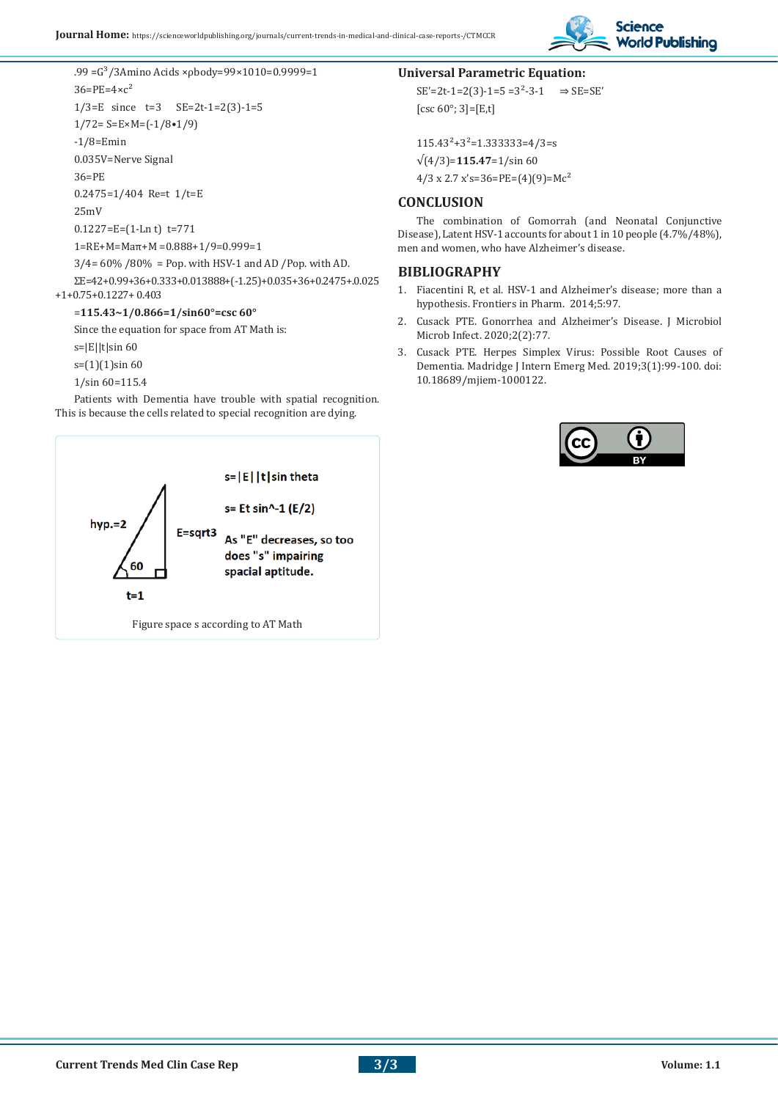

.99 = G<sup>3</sup>/3Amino Acids × pbody=99×1010=0.9999=1  $36 = PE = 4 \times c^2$  $1/3=E$  since  $t=3$   $SE=2t-1=2(3)-1=5$  $1/72 = S=E \times M = (-1/8 \cdot 1/9)$  $-1/8$ =Emin 0.035V=Nerve Signal  $36 = PE$  $0.2475=1/404$  Re=t  $1/t=E$  $25mV$  $0.1227 = E = (1-Ln t) t = 771$  $1 = RE + M = M \cdot TM = 0.888 + 1/9 = 0.999 = 1$  $3/4$  = 60% /80% = Pop. with HSV-1 and AD /Pop. with AD.  $\Sigma E = 42 + 0.99 + 36 + 0.333 + 0.013888 + (-1.25) + 0.035 + 36 + 0.2475 + 0.025$  $+1+0.75+0.1227+0.403$ = $115.43 \times 1/0.866 = 1/\sin 60^{\circ}$  = csc 60° Since the equation for space from AT Math is:

 $s=|E||t|sin 60$ 

 $s=(1)(1)\sin 60$ 

 $1/\sin 60 = 115.4$ 

Patients with Dementia have trouble with spatial recognition. This is because the cells related to special recognition are dying.



# **Universal Parametric Equation:**

 $SE' = 2t - 1 = 2(3) - 1 = 5 = 3^2 - 3 - 1 \implies SE = SE'$ [ $csc 60^{\circ}$ ; 3]=[E,t]

 $115.43^{2}+3^{2}=1.3333333=4/3=s$  $\sqrt{(4/3)} = 115.47 = 1/\sin 60$  $4/3$  x 2.7 x's=36=PE=(4)(9)=Mc<sup>2</sup>

## **CONCLUSION**

The combination of Gomorrah (and Neonatal Conjunctive Disease), Latent HSV-1 accounts for about 1 in 10 people (4.7%/48%), men and women, who have Alzheimer's disease.

# **BIBLIOGRAPHY**

- 1. Fiacentini R, et al. HSV-1 and Alzheimer's disease; more than a hypothesis. Frontiers in Pharm. 2014;5:97.
- 2. Cusack PTE. Gonorrhea and Alzheimer's Disease. J Microbiol Microb Infect. 2020;2(2):77.
- 3. Cusack PTE. Herpes Simplex Virus: Possible Root Causes of Dementia. Madridge J Intern Emerg Med. 2019;3(1):99-100. doi: 10.18689/mjiem-1000122.

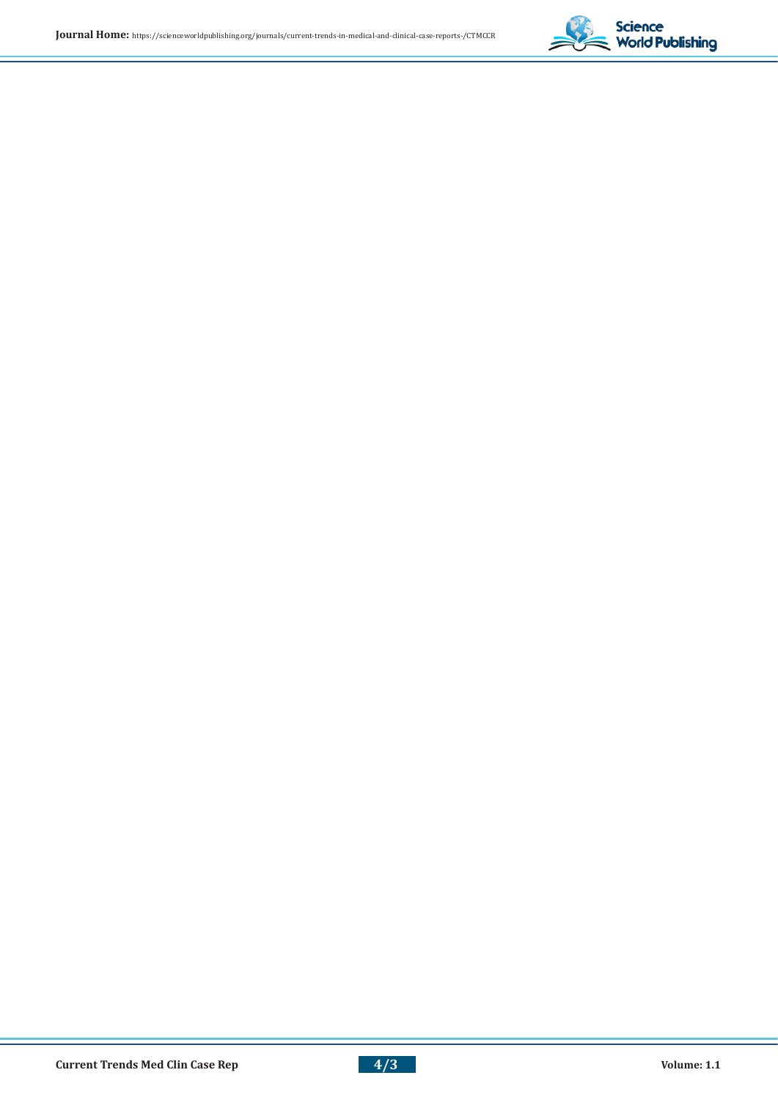

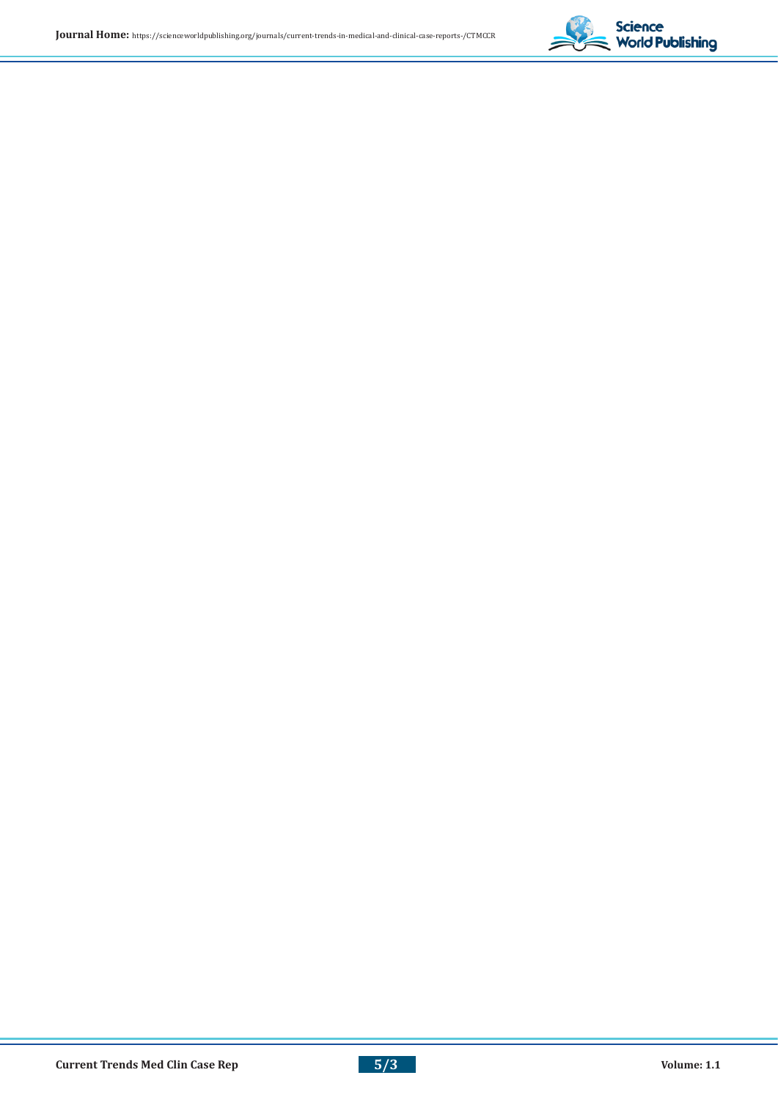